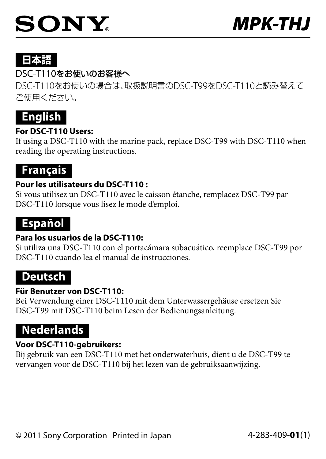# 日本語

## DSC-T110をお使いのお客様へ

DSC-T110をお使いの場合は、取扱説明書のDSC-T99をDSC-T110と読み替えて 。ご使用ください



## **For DSC-T110 Users:**

If using a DSC-T110 with the marine pack, replace DSC-T99 with DSC-T110 when reading the operating instructions.

# **Français**

## **Pour les utilisateurs du DSC-T110:**

Si vous utilisez un DSC-T110 avec le caisson étanche, remplacez DSC-T99 par DSC-T110 lorsque vous lisez le mode d'emploi.

# **Español**

## **Para los usuarios de la DSC-T110:**

Si utiliza una DSC-T110 con el portacámara subacuático, reemplace DSC-T99 por DSC-T110 cuando lea el manual de instrucciones.

## **Deutsch**

#### **Für Benutzer von DSC-T110:**

Bei Verwendung einer DSC-T110 mit dem Unterwassergehäuse ersetzen Sie DSC-T99 mit DSC-T110 beim Lesen der Bedienungsanleitung.

# **Nederlands**

## **Voor DSC-T110-aebruikers:**

Bij gebruik van een DSC-T110 met het onderwaterhuis, dient u de DSC-T99 te vervangen voor de DSC-T110 bij het lezen van de gebruiksaanwijzing.